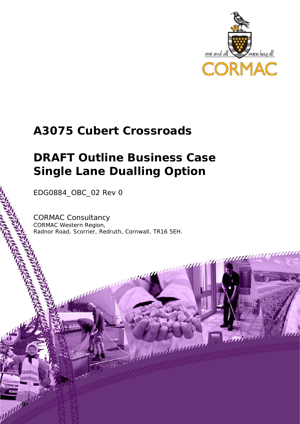

## **A3075 Cubert Crossroads**

# **DRAFT Outline Business Case Single Lane Dualling Option**

EDG0884\_OBC\_02 Rev 0

popularly

CORMAC Consultancy CORMAC Western Region, Radnor Road, Scorrier, Redruth, Cornwall, TR16 5EH.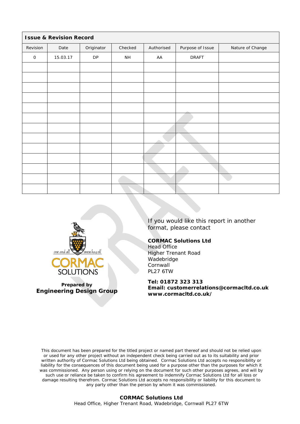| <b>Issue &amp; Revision Record</b> |          |            |                 |            |                  |                  |  |  |
|------------------------------------|----------|------------|-----------------|------------|------------------|------------------|--|--|
| Revision                           | Date     | Originator | Checked         | Authorised | Purpose of Issue | Nature of Change |  |  |
| $\mathsf O$                        | 15.03.17 | ${\sf DP}$ | $\mathsf{NH}\,$ | AA         | <b>DRAFT</b>     |                  |  |  |
|                                    |          |            |                 |            |                  |                  |  |  |
|                                    |          |            |                 |            |                  |                  |  |  |
|                                    |          |            |                 |            |                  |                  |  |  |
|                                    |          |            |                 |            |                  |                  |  |  |
|                                    |          |            |                 |            |                  |                  |  |  |
|                                    |          |            |                 |            |                  |                  |  |  |
|                                    |          |            |                 |            |                  |                  |  |  |
|                                    |          |            |                 |            |                  |                  |  |  |
|                                    |          |            |                 |            |                  |                  |  |  |
|                                    |          |            |                 |            |                  |                  |  |  |
|                                    |          |            |                 |            |                  |                  |  |  |
|                                    |          |            |                 |            |                  |                  |  |  |
|                                    |          |            |                 |            |                  |                  |  |  |



**Prepared by Engineering Design Group**

If you would like this report in another format, please contact

#### **CORMAC Solutions Ltd**

Head Office Higher Trenant Road Wadebridge Cornwall PL27 6TW

**Tel: 01872 323 313**

**Email: customerrelations@cormacltd.co.uk www.cormacltd.co.uk/**

This document has been prepared for the titled project or named part thereof and should not be relied upon or used for any other project without an independent check being carried out as to its suitability and prior written authority of Cormac Solutions Ltd being obtained. Cormac Solutions Ltd accepts no responsibility or liability for the consequences of this document being used for a purpose other than the purposes for which it was commissioned. Any person using or relying on the document for such other purposes agrees, and will by such use or reliance be taken to confirm his agreement to indemnify Cormac Solutions Ltd for all loss or damage resulting therefrom. Cormac Solutions Ltd accepts no responsibility or liability for this document to any party other than the person by whom it was commissioned.

#### **CORMAC Solutions Ltd** Head Office, Higher Trenant Road, Wadebridge, Cornwall PL27 6TW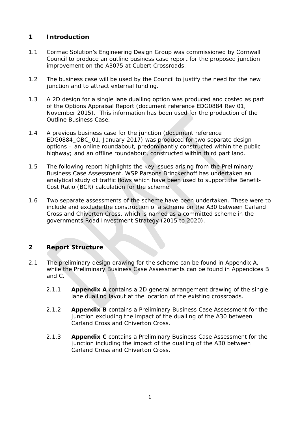### **1 Introduction**

- 1.1 Cormac Solution's Engineering Design Group was commissioned by Cornwall Council to produce an outline business case report for the proposed junction improvement on the A3075 at Cubert Crossroads.
- 1.2 The business case will be used by the Council to justify the need for the new junction and to attract external funding.
- 1.3 A 2D design for a single lane dualling option was produced and costed as part of the Options Appraisal Report (document reference EDG0884 Rev 01, November 2015). This information has been used for the production of the Outline Business Case.
- 1.4 A previous business case for the junction (document reference EDG0884\_OBC\_01, January 2017) was produced for two separate design options – an online roundabout, predominantly constructed within the public highway; and an offline roundabout, constructed within third part land.
- 1.5 The following report highlights the key issues arising from the Preliminary Business Case Assessment. WSP Parsons Brinckerhoff has undertaken an analytical study of traffic flows which have been used to support the Benefit-Cost Ratio (BCR) calculation for the scheme.
- 1.6 Two separate assessments of the scheme have been undertaken. These were to include and exclude the construction of a scheme on the A30 between Carland Cross and Chiverton Cross, which is named as a committed scheme in the governments Road Investment Strategy (2015 to 2020).

### **2 Report Structure**

- 2.1 The preliminary design drawing for the scheme can be found in Appendix A, while the Preliminary Business Case Assessments can be found in Appendices B and C.
	- 2.1.1 **Appendix A** contains a 2D general arrangement drawing of the single lane dualling layout at the location of the existing crossroads.
	- 2.1.2 **Appendix B** contains a Preliminary Business Case Assessment for the junction excluding the impact of the dualling of the A30 between Carland Cross and Chiverton Cross.
	- 2.1.3 **Appendix C** contains a Preliminary Business Case Assessment for the junction including the impact of the dualling of the A30 between Carland Cross and Chiverton Cross.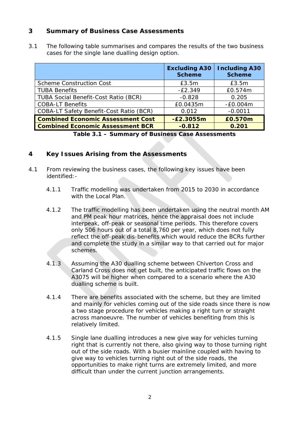#### **3 Summary of Business Case Assessments**

3.1 The following table summarises and compares the results of the two business cases for the single lane dualling design option.

|                                             | <b>Excluding A30</b><br><b>Scheme</b> | <b>Including A30</b><br><b>Scheme</b> |
|---------------------------------------------|---------------------------------------|---------------------------------------|
| <b>Scheme Construction Cost</b>             | E3.5m                                 | E3.5m                                 |
| <b>TUBA Benefits</b>                        | $-E2.349$                             | £0.574m                               |
| <b>TUBA Social Benefit-Cost Ratio (BCR)</b> | $-0.828$                              | 0.205                                 |
| <b>COBA-LT Benefits</b>                     | £0.0435m                              | $-E0.004m$                            |
| COBA-LT Safety Benefit-Cost Ratio (BCR)     | 0.012                                 | $-0.0011$                             |
| <b>Combined Economic Assessment Cost</b>    | $-E2.3055m$                           | £0.570m                               |
| <b>Combined Economic Assessment BCR</b>     | $-0.812$                              | 0.201                                 |

**Table 3.1 – Summary of Business Case Assessments**

#### **4 Key Issues Arising from the Assessments**

- 4.1 From reviewing the business cases, the following key issues have been identified:-
	- 4.1.1 Traffic modelling was undertaken from 2015 to 2030 in accordance with the Local Plan.
	- 4.1.2 The traffic modelling has been undertaken using the neutral month AM and PM peak hour matrices, hence the appraisal does not include interpeak, off-peak or seasonal time periods. This therefore covers only 506 hours out of a total 8,760 per year, which does not fully reflect the off-peak dis-benefits which would reduce the BCRs further and complete the study in a similar way to that carried out for major schemes.
	- 4.1.3 Assuming the A30 dualling scheme between Chiverton Cross and Carland Cross does not get built, the anticipated traffic flows on the A3075 will be higher when compared to a scenario where the A30 dualling scheme is built.
	- 4.1.4 There are benefits associated with the scheme, but they are limited and mainly for vehicles coming out of the side roads since there is now a two stage procedure for vehicles making a right turn or straight across manoeuvre. The number of vehicles benefiting from this is relatively limited.
	- 4.1.5 Single lane dualling introduces a new give way for vehicles turning right that is currently not there, also giving way to those turning right out of the side roads. With a busier mainline coupled with having to give way to vehicles turning right out of the side roads, the opportunities to make right turns are extremely limited, and more difficult than under the current junction arrangements.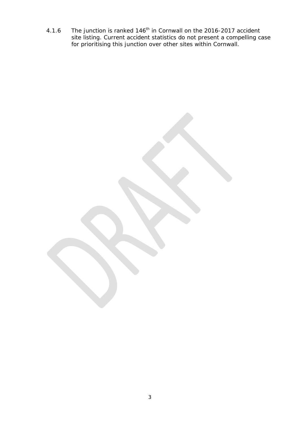4.1.6 The junction is ranked  $146<sup>th</sup>$  in Cornwall on the 2016-2017 accident site listing. Current accident statistics do not present a compelling case for prioritising this junction over other sites within Cornwall.

3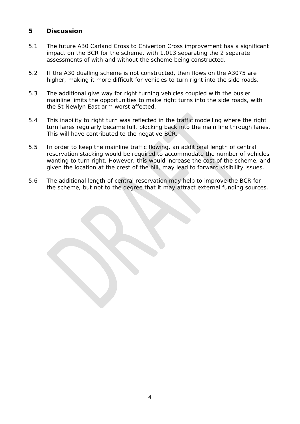#### **5 Discussion**

- 5.1 The future A30 Carland Cross to Chiverton Cross improvement has a significant impact on the BCR for the scheme, with 1.013 separating the 2 separate assessments of with and without the scheme being constructed.
- 5.2 If the A30 dualling scheme is not constructed, then flows on the A3075 are higher, making it more difficult for vehicles to turn right into the side roads.
- 5.3 The additional give way for right turning vehicles coupled with the busier mainline limits the opportunities to make right turns into the side roads, with the St Newlyn East arm worst affected.
- 5.4 This inability to right turn was reflected in the traffic modelling where the right turn lanes regularly became full, blocking back into the main line through lanes. This will have contributed to the negative BCR.
- 5.5 In order to keep the mainline traffic flowing, an additional length of central reservation stacking would be required to accommodate the number of vehicles wanting to turn right. However, this would increase the cost of the scheme, and given the location at the crest of the hill, may lead to forward visibility issues.
- 5.6 The additional length of central reservation may help to improve the BCR for the scheme, but not to the degree that it may attract external funding sources.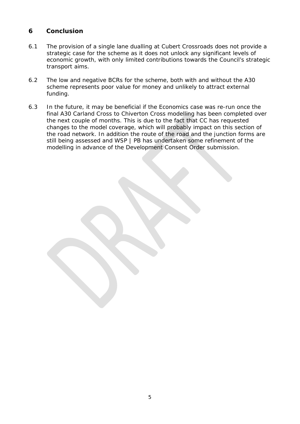### **6 Conclusion**

- 6.1 The provision of a single lane dualling at Cubert Crossroads does not provide a strategic case for the scheme as it does not unlock any significant levels of economic growth, with only limited contributions towards the Council's strategic transport aims.
- 6.2 The low and negative BCRs for the scheme, both with and without the A30 scheme represents poor value for money and unlikely to attract external funding.
- 6.3 In the future, it may be beneficial if the Economics case was re-run once the final A30 Carland Cross to Chiverton Cross modelling has been completed over the next couple of months. This is due to the fact that CC has requested changes to the model coverage, which will probably impact on this section of the road network. In addition the route of the road and the junction forms are still being assessed and WSP | PB has undertaken some refinement of the modelling in advance of the Development Consent Order submission.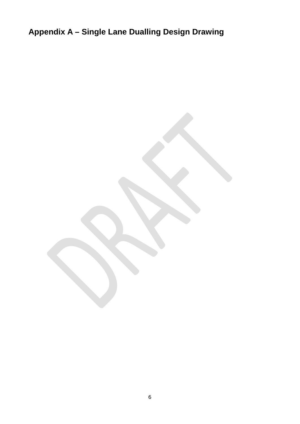**Appendix A – Single Lane Dualling Design Drawing**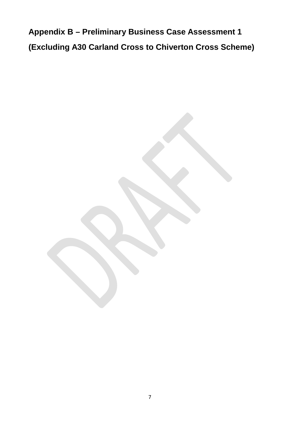**Appendix B – Preliminary Business Case Assessment 1 (Excluding A30 Carland Cross to Chiverton Cross Scheme)**